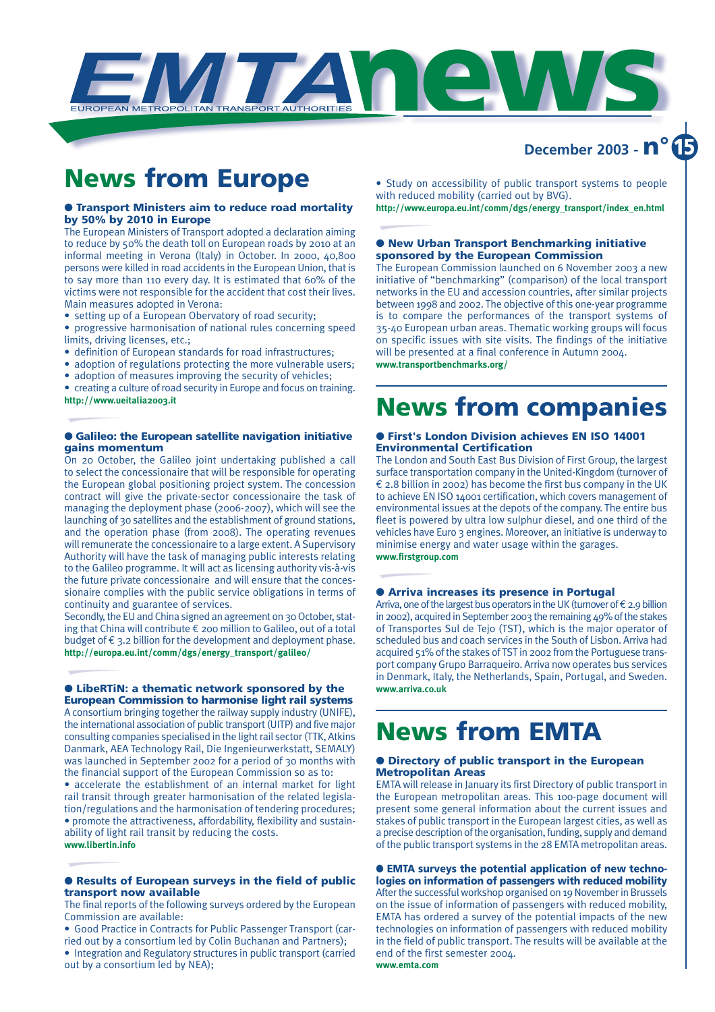

## **December 2003 - n°**

## **News from Europe**

### ● **Transport Ministers aim to reduce road mortality by 50% by 2010 in Europe**

The European Ministers of Transport adopted a declaration aiming to reduce by 50% the death toll on European roads by 2010 at an informal meeting in Verona (Italy) in October. In 2000, 40,800 persons were killed in road accidents in the European Union, that is to say more than 110 every day. It is estimated that 60% of the victims were not responsible for the accident that cost their lives. Main measures adopted in Verona:

• setting up of a European Obervatory of road security;

- progressive harmonisation of national rules concerning speed limits, driving licenses, etc.;
- definition of European standards for road infrastructures;
- adoption of regulations protecting the more vulnerable users;
- adoption of measures improving the security of vehicles;

• creating a culture of road security in Europe and focus on training. **http://www.ueitalia2003.it**

### ● **Galileo: the European satellite navigation initiative gains momentum**

On 20 October, the Galileo joint undertaking published a call to select the concessionaire that will be responsible for operating the European global positioning project system. The concession contract will give the private-sector concessionaire the task of managing the deployment phase (2006-2007), which will see the launching of 30 satellites and the establishment of ground stations, and the operation phase (from 2008). The operating revenues will remunerate the concessionaire to a large extent. A Supervisory Authority will have the task of managing public interests relating to the Galileo programme. It will act as licensing authority vis-à-vis the future private concessionaire and will ensure that the concessionaire complies with the public service obligations in terms of continuity and guarantee of services.

Secondly, the EU and China signed an agreement on 30 October, stating that China will contribute € 200 million to Galileo, out of a total budget of  $\epsilon$  3.2 billion for the development and deployment phase. **http://europa.eu.int/comm/dgs/energy\_transport/galileo/**

### ● **LibeRTiN: a thematic network sponsored by the European Commission to harmonise light rail systems**

A consortium bringing together the railway supply industry (UNIFE), the international association of public transport (UITP) and five major consulting companies specialised in the light rail sector (TTK, Atkins Danmark, AEA Technology Rail, Die Ingenieurwerkstatt, SEMALY) was launched in September 2002 for a period of 30 months with the financial support of the European Commission so as to:

• accelerate the establishment of an internal market for light rail transit through greater harmonisation of the related legislation/regulations and the harmonisation of tendering procedures; • promote the attractiveness, affordability, flexibility and sustainability of light rail transit by reducing the costs. **www.libertin.info**

### ● **Results of European surveys in the field of public transport now available**

The final reports of the following surveys ordered by the European Commission are available:

• Good Practice in Contracts for Public Passenger Transport (carried out by a consortium led by Colin Buchanan and Partners); • Integration and Regulatory structures in public transport (carried out by a consortium led by NEA);

• Study on accessibility of public transport systems to people with reduced mobility (carried out by BVG).

**http://www.europa.eu.int/comm/dgs/energy\_transport/index\_en.html**

### ● **New Urban Transport Benchmarking initiative sponsored by the European Commission**

The European Commission launched on 6 November 2003 a new initiative of "benchmarking" (comparison) of the local transport networks in the EU and accession countries, after similar projects between 1998 and 2002. The objective of this one-year programme is to compare the performances of the transport systems of 35-40 European urban areas. Thematic working groups will focus on specific issues with site visits. The findings of the initiative will be presented at a final conference in Autumn 2004. **www.transportbenchmarks.org/**

**News from companies**

### ● **First's London Division achieves EN ISO 14001 Environmental Certification**

The London and South East Bus Division of First Group, the largest surface transportation company in the United-Kingdom (turnover of  $\epsilon$  2.8 billion in 2002) has become the first bus company in the UK to achieve EN ISO 14001 certification, which covers management of environmental issues at the depots of the company. The entire bus fleet is powered by ultra low sulphur diesel, and one third of the vehicles have Euro 3 engines. Moreover, an initiative is underway to minimise energy and water usage within the garages. **www.firstgroup.com**

### ● **Arriva increases its presence in Portugal**

Arriva, one of the largest bus operators in the UK (turnover of  $\epsilon$  2.9 billion in 2002), acquired in September 2003 the remaining 49% of the stakes of Transportes Sul de Tejo (TST), which is the major operator of scheduled bus and coach services in the South of Lisbon. Arriva had acquired 51% of the stakes of TST in 2002 from the Portuguese transport company Grupo Barraqueiro. Arriva now operates bus services in Denmark, Italy, the Netherlands, Spain, Portugal, and Sweden. **www.arriva.co.uk**

## **News from EMTA**

### ● **Directory of public transport in the European Metropolitan Areas**

EMTA will release in January its first Directory of public transport in the European metropolitan areas. This 100-page document will present some general information about the current issues and stakes of public transport in the European largest cities, as well as a precise description of the organisation, funding, supply and demand of the public transport systems in the 28 EMTA metropolitan areas.

● **EMTA surveys the potential application of new technologies on information of passengers with reduced mobility** After the successful workshop organised on 19 November in Brussels on the issue of information of passengers with reduced mobility, EMTA has ordered a survey of the potential impacts of the new technologies on information of passengers with reduced mobility in the field of public transport. The results will be available at the end of the first semester 2004. **www.emta.com**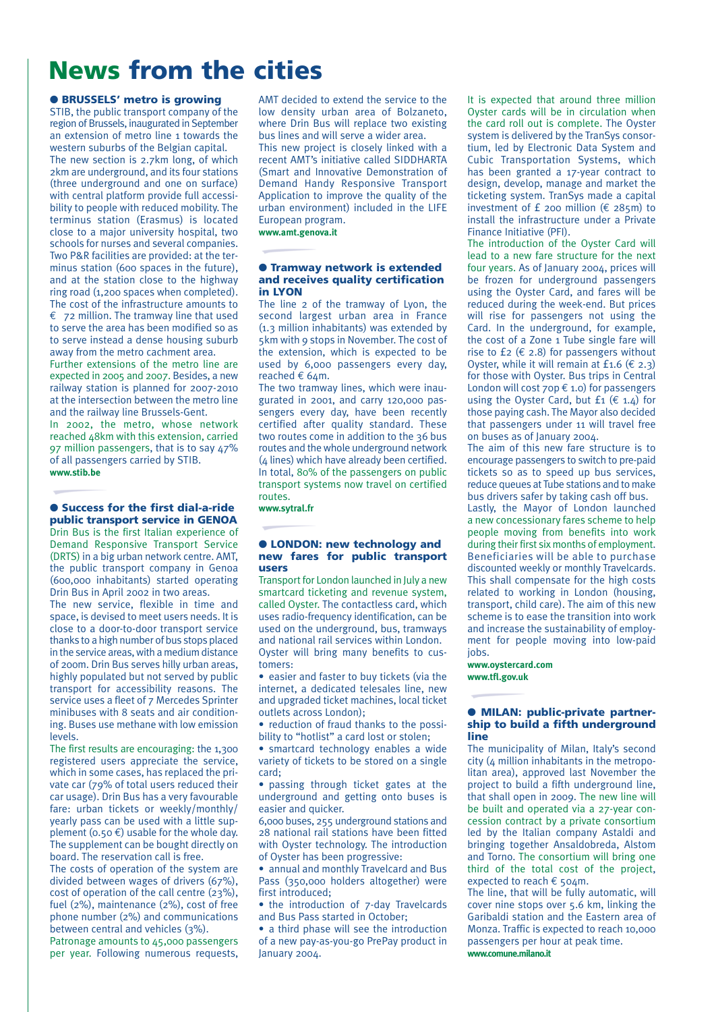## **News from the cities**

### ● **BRUSSELS' metro is growing**

STIB, the public transport company of the region of Brussels, inaugurated in September an extension of metro line 1 towards the western suburbs of the Belgian capital.

The new section is 2.7km long, of which 2km are underground, and its four stations (three underground and one on surface) with central platform provide full accessibility to people with reduced mobility. The terminus station (Erasmus) is located close to a major university hospital, two schools for nurses and several companies. Two P&R facilities are provided: at the terminus station (600 spaces in the future). and at the station close to the highway ring road (1,200 spaces when completed). The cost of the infrastructure amounts to  $\epsilon$  72 million. The tramway line that used to serve the area has been modified so as to serve instead a dense housing suburb away from the metro cachment area.

Further extensions of the metro line are expected in 2005 and 2007. Besides, a new railway station is planned for 2007-2010 at the intersection between the metro line and the railway line Brussels-Gent.

In 2002, the metro, whose network reached 48km with this extension, carried 97 million passengers, that is to say 47% of all passengers carried by STIB. **www.stib.be**

### ● **Success for the first dial-a-ride public transport service in GENOA**

Drin Bus is the first Italian experience of Demand Responsive Transport Service (DRTS) in a big urban network centre. AMT, the public transport company in Genoa (600,000 inhabitants) started operating Drin Bus in April 2002 in two areas.

The new service, flexible in time and space, is devised to meet users needs. It is close to a door-to-door transport service thanks to a high number of bus stops placed in the service areas, with a medium distance of 200m. Drin Bus serves hilly urban areas, highly populated but not served by public transport for accessibility reasons. The service uses a fleet of 7 Mercedes Sprinter minibuses with 8 seats and air conditioning. Buses use methane with low emission levels.

The first results are encouraging: the 1,300 registered users appreciate the service, which in some cases, has replaced the private car (79% of total users reduced their car usage). Drin Bus has a very favourable fare: urban tickets or weekly/monthly/ yearly pass can be used with a little supplement (0.50  $\epsilon$ ) usable for the whole day. The supplement can be bought directly on board. The reservation call is free.

The costs of operation of the system are divided between wages of drivers (67%), cost of operation of the call centre (23%), fuel (2%), maintenance (2%), cost of free phone number (2%) and communications between central and vehicles (3%). Patronage amounts to 45,000 passengers per year. Following numerous requests,

AMT decided to extend the service to the low density urban area of Bolzaneto, where Drin Bus will replace two existing bus lines and will serve a wider area. This new project is closely linked with a recent AMT's initiative called SIDDHARTA (Smart and Innovative Demonstration of Demand Handy Responsive Transport Application to improve the quality of the urban environment) included in the LIFE European program.

**www.amt.genova.it**

### ● **Tramway network is extended and receives quality certification in LYON**

The line 2 of the tramway of Lyon, the second largest urban area in France (1.3 million inhabitants) was extended by 5km with 9 stops in November. The cost of the extension, which is expected to be used by 6,000 passengers every day, reached € 64m.

The two tramway lines, which were inaugurated in 2001, and carry 120,000 passengers every day, have been recently certified after quality standard. These two routes come in addition to the 36 bus routes and the whole underground network (4 lines) which have already been certified. In total, 80% of the passengers on public transport systems now travel on certified routes.

**www.sytral.fr**

### ● **LONDON: new technology and new fares for public transport users**

Transport for London launched in July a new smartcard ticketing and revenue system, called Oyster. The contactless card, which uses radio-frequency identification, can be used on the underground, bus, tramways and national rail services within London. Oyster will bring many benefits to customers:

• easier and faster to buy tickets (via the internet, a dedicated telesales line, new and upgraded ticket machines, local ticket outlets across London);

• reduction of fraud thanks to the possibility to "hotlist" a card lost or stolen;

• smartcard technology enables a wide variety of tickets to be stored on a single card;

• passing through ticket gates at the underground and getting onto buses is easier and quicker.

6,000 buses, 255 underground stations and 28 national rail stations have been fitted with Oyster technology. The introduction of Oyster has been progressive:

• annual and monthly Travelcard and Bus Pass (350,000 holders altogether) were first introduced;

• the introduction of 7-day Travelcards and Bus Pass started in October;

• a third phase will see the introduction of a new pay-as-you-go PrePay product in January 2004.

It is expected that around three million Oyster cards will be in circulation when the card roll out is complete. The Oyster system is delivered by the TranSys consortium, led by Electronic Data System and Cubic Transportation Systems, which has been granted a 17-year contract to design, develop, manage and market the ticketing system. TranSys made a capital investment of £ 200 million ( $\epsilon$  285m) to install the infrastructure under a Private Finance Initiative (PFI).

The introduction of the Oyster Card will lead to a new fare structure for the next four years. As of January 2004, prices will be frozen for underground passengers using the Oyster Card, and fares will be reduced during the week-end. But prices will rise for passengers not using the Card. In the underground, for example, the cost of a Zone 1 Tube single fare will rise to £2 ( $\epsilon$  2.8) for passengers without Oyster, while it will remain at £1.6 ( $\epsilon$  2.3) for those with Oyster. Bus trips in Central London will cost  $7$ op  $6$  1.0) for passengers using the Oyster Card, but  $f_1 \in \{4, 4\}$  for those paying cash. The Mayor also decided that passengers under 11 will travel free on buses as of January 2004.

The aim of this new fare structure is to encourage passengers to switch to pre-paid tickets so as to speed up bus services, reduce queues at Tube stations and to make bus drivers safer by taking cash off bus.

Lastly, the Mayor of London launched a new concessionary fares scheme to help people moving from benefits into work during their first six months of employment. Beneficiaries will be able to purchase discounted weekly or monthly Travelcards. This shall compensate for the high costs related to working in London (housing, transport, child care). The aim of this new scheme is to ease the transition into work and increase the sustainability of employment for people moving into low-paid inhs

**www.oystercard.com www.tfl.gov.uk**

### ● **MILAN: public-private partnership to build a fifth underground line**

The municipality of Milan, Italy's second  $city$  ( $\land$  million inhabitants in the metropolitan area), approved last November the project to build a fifth underground line, that shall open in 2009. The new line will be built and operated via a 27-year concession contract by a private consortium led by the Italian company Astaldi and bringing together Ansaldobreda, Alstom and Torno. The consortium will bring one third of the total cost of the project, expected to reach € 504m.

The line, that will be fully automatic, will cover nine stops over 5.6 km, linking the Garibaldi station and the Eastern area of Monza. Traffic is expected to reach 10,000 passengers per hour at peak time. **www.comune.milano.it**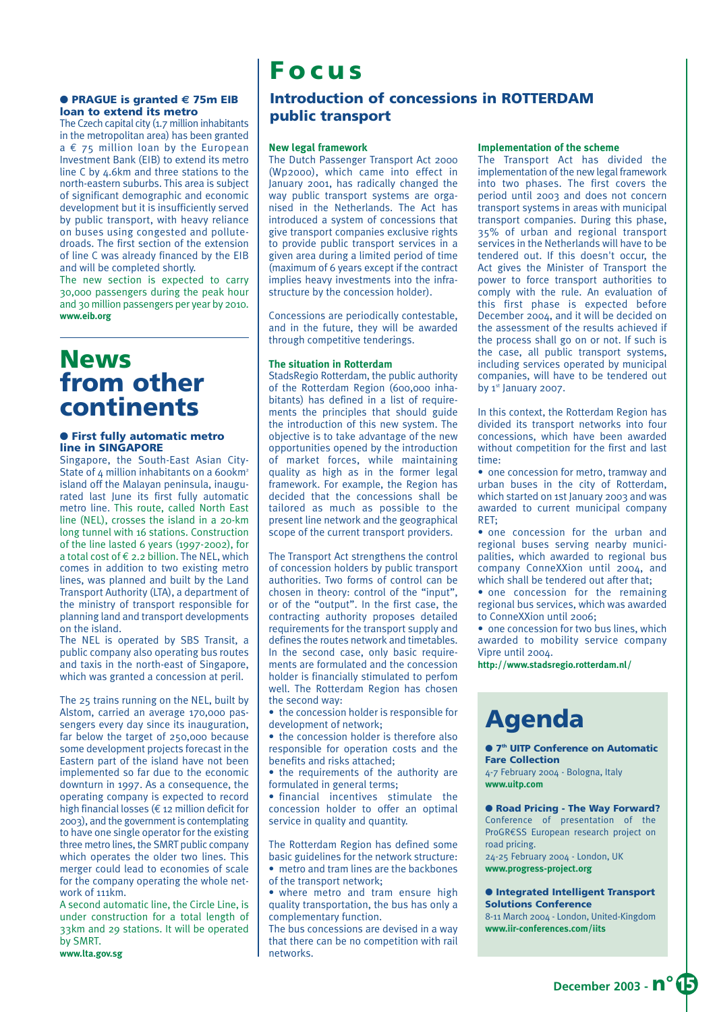## **Focus**

### ● **PRAGUE is granted € 75m EIB loan to extend its metro**

The Czech capital city (1.7 million inhabitants in the metropolitan area) has been granted  $a \in 75$  million loan by the European Investment Bank (EIB) to extend its metro line C by 4.6km and three stations to the north-eastern suburbs. This area is subject of significant demographic and economic development but it is insufficiently served by public transport, with heavy reliance on buses using congested and pollutedroads. The first section of the extension of line C was already financed by the EIB and will be completed shortly.

The new section is expected to carry 30,000 passengers during the peak hour and 30 million passengers per year by 2010. **www.eib.org**

## **News from other continents**

### ● **First fully automatic metro line in SINGAPORE**

Singapore, the South-East Asian City-State of  $4$  million inhabitants on a 600km<sup>2</sup> island off the Malayan peninsula, inaugurated last June its first fully automatic metro line. This route, called North East line (NEL), crosses the island in a 20-km long tunnel with 16 stations. Construction of the line lasted 6 years (1997-2002), for a total cost of € 2.2 billion. The NEL, which comes in addition to two existing metro lines, was planned and built by the Land Transport Authority (LTA), a department of the ministry of transport responsible for planning land and transport developments on the island.

The NEL is operated by SBS Transit, a public company also operating bus routes and taxis in the north-east of Singapore, which was granted a concession at peril.

The 25 trains running on the NEL, built by Alstom, carried an average 170,000 passengers every day since its inauguration, far below the target of 250,000 because some development projects forecast in the Eastern part of the island have not been implemented so far due to the economic downturn in 1997. As a consequence, the operating company is expected to record high financial losses (€ 12 million deficit for 2003), and the government is contemplating to have one single operator for the existing three metro lines, the SMRT public company which operates the older two lines. This merger could lead to economies of scale for the company operating the whole network of 111km.

A second automatic line, the Circle Line, is under construction for a total length of 33km and 29 stations. It will be operated by SMRT.

**www.lta.gov.sg**

### **Introduction of concessions in ROTTERDAM public transport**

### **New legal framework**

The Dutch Passenger Transport Act 2000 (Wp2000), which came into effect in January 2001, has radically changed the way public transport systems are organised in the Netherlands. The Act has introduced a system of concessions that give transport companies exclusive rights to provide public transport services in a given area during a limited period of time (maximum of 6 years except if the contract implies heavy investments into the infrastructure by the concession holder).

Concessions are periodically contestable, and in the future, they will be awarded through competitive tenderings.

### **The situation in Rotterdam**

StadsRegio Rotterdam, the public authority of the Rotterdam Region (600,000 inhabitants) has defined in a list of requirements the principles that should guide the introduction of this new system. The objective is to take advantage of the new opportunities opened by the introduction of market forces, while maintaining quality as high as in the former legal framework. For example, the Region has decided that the concessions shall be tailored as much as possible to the present line network and the geographical scope of the current transport providers.

The Transport Act strengthens the control of concession holders by public transport authorities. Two forms of control can be chosen in theory: control of the "input", or of the "output". In the first case, the contracting authority proposes detailed requirements for the transport supply and defines the routes network and timetables. In the second case, only basic requirements are formulated and the concession holder is financially stimulated to perfom well. The Rotterdam Region has chosen the second way:

• the concession holder is responsible for development of network;

• the concession holder is therefore also responsible for operation costs and the benefits and risks attached;

• the requirements of the authority are formulated in general terms;

• financial incentives stimulate the concession holder to offer an optimal service in quality and quantity.

The Rotterdam Region has defined some basic guidelines for the network structure:

• metro and tram lines are the backbones of the transport network;

• where metro and tram ensure high quality transportation, the bus has only a complementary function.

The bus concessions are devised in a way that there can be no competition with rail networks.

### **Implementation of the scheme**

The Transport Act has divided the implementation of the new legal framework into two phases. The first covers the period until 2003 and does not concern transport systems in areas with municipal transport companies. During this phase, 35% of urban and regional transport services in the Netherlands will have to be tendered out. If this doesn't occur, the Act gives the Minister of Transport the power to force transport authorities to comply with the rule. An evaluation of this first phase is expected before December 2004, and it will be decided on the assessment of the results achieved if the process shall go on or not. If such is the case, all public transport systems, including services operated by municipal companies, will have to be tendered out by  $1<sup>st</sup>$  January 2007.

In this context, the Rotterdam Region has divided its transport networks into four concessions, which have been awarded without competition for the first and last time:

• one concession for metro, tramway and urban buses in the city of Rotterdam, which started on 1st January 2003 and was awarded to current municipal company RET;

• one concession for the urban and regional buses serving nearby municipalities, which awarded to regional bus company ConneXXion until 2004, and which shall be tendered out after that;

• one concession for the remaining regional bus services, which was awarded to ConneXXion until 2006;

• one concession for two bus lines, which awarded to mobility service company Vipre until 2004.

**http://www.stadsregio.rotterdam.nl/**

# **Agenda**

● **7th UITP Conference on Automatic Fare Collection**

4-7 February 2004 - Bologna, Italy **www.uitp.com**

### ● **Road Pricing - The Way Forward?**

Conference of presentation of the ProGR€SS European research project on road pricing.

24-25 February 2004 - London, UK **www.progress-project.org**

#### ● **Integrated Intelligent Transport Solutions Conference**

8-11 March 2004 - London, United-Kingdom **www.iir-conferences.com/iits**